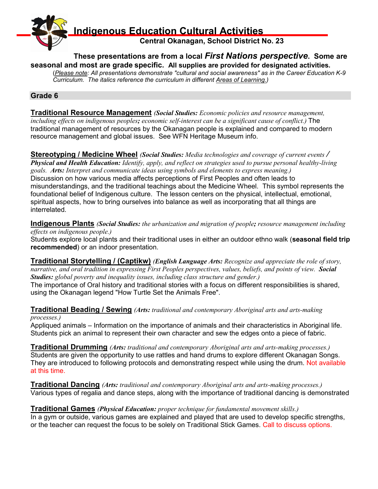**Central Okanagan, School District No. 23**

**These presentations are from a local** *First Nations perspective***. Some are seasonal and most are grade specific. All supplies are provided for designated activities.**

(*Please note: All presentations demonstrate "cultural and social awareness" as in the Career Education K-9 Curriculum. The italics reference the curriculum in different Areas of Learning.)* 

# **Grade 6**

**Traditional Resource Management** *(Social Studies: Economic policies and resource management, including effects on indigenous peoples; economic self-interest can be a significant cause of conflict.)* The traditional management of resources by the Okanagan people is explained and compared to modern resource management and global issues. See WFN Heritage Museum info.

**Stereotyping / Medicine Wheel** *(Social Studies: Media technologies and coverage of current events / Physical and Health Education: Identify, apply, and reflect on strategies used to pursue personal healthy-living goals. Arts: Interpret and communicate ideas using symbols and elements to express meaning.)* Discussion on how various media affects perceptions of First Peoples and often leads to misunderstandings, and the traditional teachings about the Medicine Wheel. This symbol represents the foundational belief of Indigenous culture. The lesson centers on the physical, intellectual, emotional, spiritual aspects, how to bring ourselves into balance as well as incorporating that all things are interrelated.

**Indigenous Plants** *(Social Studies: the urbanization and migration of people; resource management including effects on indigenous people.)*

Students explore local plants and their traditional uses in either an outdoor ethno walk (**seasonal field trip recommended**) or an indoor presentation.

**Traditional Storytelling / (Captikw)** *(English Language Arts: Recognize and appreciate the role of story, narrative, and oral tradition in expressing First Peoples perspectives, values, beliefs, and points of view. Social Studies: global poverty and inequality issues, including class structure and gender.)*

The importance of Oral history and traditional stories with a focus on different responsibilities is shared, using the Okanagan legend "How Turtle Set the Animals Free".

**Traditional Beading / Sewing** *(Arts: traditional and contemporary Aboriginal arts and arts-making processes.)*

Appliqued animals – Information on the importance of animals and their characteristics in Aboriginal life. Students pick an animal to represent their own character and sew the edges onto a piece of fabric.

**Traditional Drumming** *(Arts: traditional and contemporary Aboriginal arts and arts-making processes.)* Students are given the opportunity to use rattles and hand drums to explore different Okanagan Songs. They are introduced to following protocols and demonstrating respect while using the drum. Not available at this time.

**Traditional Dancing** *(Arts: traditional and contemporary Aboriginal arts and arts-making processes.)* Various types of regalia and dance steps, along with the importance of traditional dancing is demonstrated

**Traditional Games** *(Physical Education: proper technique for fundamental movement skills.)* In a gym or outside, various games are explained and played that are used to develop specific strengths, or the teacher can request the focus to be solely on Traditional Stick Games. Call to discuss options.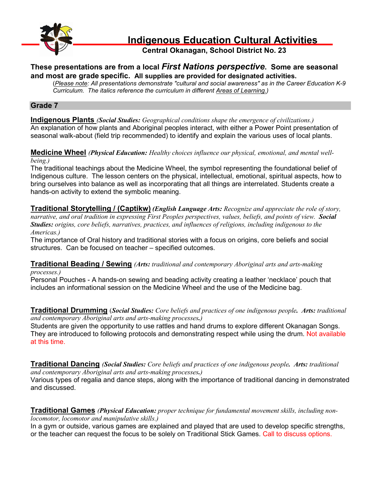

**Central Okanagan, School District No. 23**

## **These presentations are from a local** *First Nations perspective***. Some are seasonal and most are grade specific. All supplies are provided for designated activities.**

(*Please note: All presentations demonstrate "cultural and social awareness" as in the Career Education K-9 Curriculum. The italics reference the curriculum in different Areas of Learning.)* 

# **Grade 7**

**Indigenous Plants** *(Social Studies: Geographical conditions shape the emergence of civilizations.)* An explanation of how plants and Aboriginal peoples interact, with either a Power Point presentation of seasonal walk-about (field trip recommended) to identify and explain the various uses of local plants.

#### **Medicine Wheel** *(Physical Education: Healthy choices influence our physical, emotional, and mental wellbeing.)*

The traditional teachings about the Medicine Wheel, the symbol representing the foundational belief of Indigenous culture. The lesson centers on the physical, intellectual, emotional, spiritual aspects, how to bring ourselves into balance as well as incorporating that all things are interrelated. Students create a hands-on activity to extend the symbolic meaning.

**Traditional Storytelling / (Captikw)** *(English Language Arts: Recognize and appreciate the role of story, narrative, and oral tradition in expressing First Peoples perspectives, values, beliefs, and points of view. Social Studies: origins, core beliefs, narratives, practices, and influences of religions, including indigenous to the Americas.)*

The importance of Oral history and traditional stories with a focus on origins, core beliefs and social structures. Can be focused on teacher – specified outcomes.

#### **Traditional Beading / Sewing** *(Arts: traditional and contemporary Aboriginal arts and arts-making processes.)*

Personal Pouches - A hands-on sewing and beading activity creating a leather 'necklace' pouch that includes an informational session on the Medicine Wheel and the use of the Medicine bag.

**Traditional Drumming** (*Social Studies: Core beliefs and practices of one indigenous people. Arts: traditional and contemporary Aboriginal arts and arts-making processes.)* 

Students are given the opportunity to use rattles and hand drums to explore different Okanagan Songs. They are introduced to following protocols and demonstrating respect while using the drum. Not available at this time.

**Traditional Dancing** *(Social Studies: Core beliefs and practices of one indigenous people. Arts: traditional and contemporary Aboriginal arts and arts-making processes.)*

Various types of regalia and dance steps, along with the importance of traditional dancing in demonstrated and discussed.

**Traditional Games** *(Physical Education: proper technique for fundamental movement skills, including nonlocomotor, locomotor and manipulative skills.)*

In a gym or outside, various games are explained and played that are used to develop specific strengths, or the teacher can request the focus to be solely on Traditional Stick Games. Call to discuss options.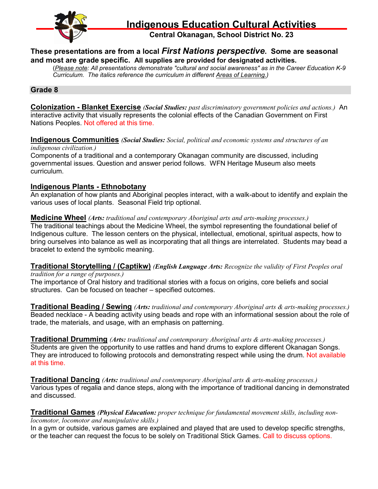

**Central Okanagan, School District No. 23**

#### **These presentations are from a local** *First Nations perspective***. Some are seasonal and most are grade specific. All supplies are provided for designated activities.**

(*Please note: All presentations demonstrate "cultural and social awareness" as in the Career Education K-9 Curriculum. The italics reference the curriculum in different Areas of Learning.)* 

### **Grade 8**

**Colonization - Blanket Exercise** *(Social Studies: past discriminatory government policies and actions.)* An interactive activity that visually represents the colonial effects of the Canadian Government on First Nations Peoples. Not offered at this time.

**Indigenous Communities** *(Social Studies: Social, political and economic systems and structures of an indigenous civilization.)*

Components of a traditional and a contemporary Okanagan community are discussed, including governmental issues. Question and answer period follows. WFN Heritage Museum also meets curriculum.

#### **Indigenous Plants - Ethnobotany**

An explanation of how plants and Aboriginal peoples interact, with a walk-about to identify and explain the various uses of local plants. Seasonal Field trip optional.

#### **Medicine Wheel** *(Arts: traditional and contemporary Aboriginal arts and arts-making processes.)*

The traditional teachings about the Medicine Wheel, the symbol representing the foundational belief of Indigenous culture. The lesson centers on the physical, intellectual, emotional, spiritual aspects, how to bring ourselves into balance as well as incorporating that all things are interrelated. Students may bead a bracelet to extend the symbolic meaning.

# **Traditional Storytelling / (Captikw)** *(English Language Arts: Recognize the validity of First Peoples oral*

*tradition for a range of purposes.)* The importance of Oral history and traditional stories with a focus on origins, core beliefs and social structures. Can be focused on teacher – specified outcomes.

**Traditional Beading / Sewing** *(Arts: traditional and contemporary Aboriginal arts & arts-making processes.)* Beaded necklace - A beading activity using beads and rope with an informational session about the role of trade, the materials, and usage, with an emphasis on patterning.

**Traditional Drumming** *(Arts: traditional and contemporary Aboriginal arts & arts-making processes.)* Students are given the opportunity to use rattles and hand drums to explore different Okanagan Songs. They are introduced to following protocols and demonstrating respect while using the drum. Not available at this time.

**Traditional Dancing** *(Arts: traditional and contemporary Aboriginal arts & arts-making processes.)* Various types of regalia and dance steps, along with the importance of traditional dancing in demonstrated and discussed.

#### **Traditional Games** *(Physical Education: proper technique for fundamental movement skills, including nonlocomotor, locomotor and manipulative skills.)*

In a gym or outside, various games are explained and played that are used to develop specific strengths, or the teacher can request the focus to be solely on Traditional Stick Games. Call to discuss options.